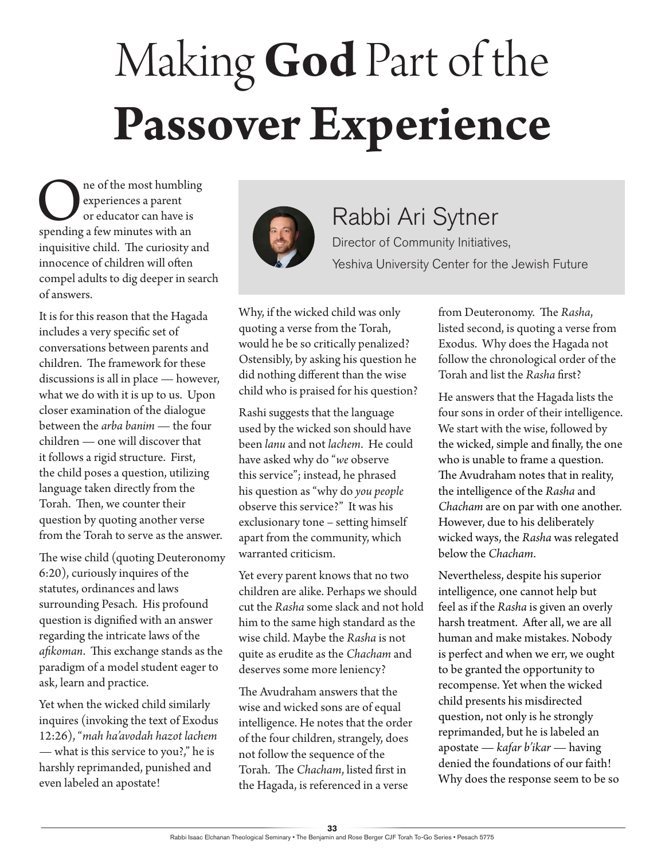## Making **God** Part of the **Passover Experience**

One of the most humbling<br>
or educator can have is<br>
spending a few minutes with an experiences a parent or educator can have is inquisitive child. The curiosity and innocence of children will often compel adults to dig deeper in search of answers.

It is for this reason that the Hagada includes a very specific set of conversations between parents and children. The framework for these discussions is all in place — however, what we do with it is up to us. Upon closer examination of the dialogue between the *arba banim* — the four children — one will discover that it follows a rigid structure. First, the child poses a question, utilizing language taken directly from the Torah. Then, we counter their question by quoting another verse from the Torah to serve as the answer.

The wise child (quoting Deuteronomy 6:20), curiously inquires of the statutes, ordinances and laws surrounding Pesach. His profound question is dignified with an answer regarding the intricate laws of the *afikoman*. This exchange stands as the paradigm of a model student eager to ask, learn and practice.

Yet when the wicked child similarly inquires (invoking the text of Exodus 12:26), "*mah ha'avodah hazot lachem* — what is this service to you?," he is harshly reprimanded, punished and even labeled an apostate!



Rabbi Ari Sytner Director of Community Initiatives, Yeshiva University Center for the Jewish Future

Why, if the wicked child was only quoting a verse from the Torah, would he be so critically penalized? Ostensibly, by asking his question he did nothing different than the wise child who is praised for his question?

Rashi suggests that the language used by the wicked son should have been *lanu* and not *lachem*. He could have asked why do "*we* observe this service"; instead, he phrased his question as "why do *you people* observe this service?" It was his exclusionary tone – setting himself apart from the community, which warranted criticism.

Yet every parent knows that no two children are alike. Perhaps we should cut the *Rasha* some slack and not hold him to the same high standard as the wise child. Maybe the *Rasha* is not quite as erudite as the *Chacham* and deserves some more leniency?

The Avudraham answers that the wise and wicked sons are of equal intelligence. He notes that the order of the four children, strangely, does not follow the sequence of the Torah. The *Chacham*, listed first in the Hagada, is referenced in a verse

from Deuteronomy. The *Rasha*, listed second, is quoting a verse from Exodus. Why does the Hagada not follow the chronological order of the Torah and list the *Rasha* first?

He answers that the Hagada lists the four sons in order of their intelligence. We start with the wise, followed by the wicked, simple and finally, the one who is unable to frame a question. The Avudraham notes that in reality, the intelligence of the *Rasha* and *Chacham* are on par with one another. However, due to his deliberately wicked ways, the *Rasha* was relegated below the *Chacham*.

Nevertheless, despite his superior intelligence, one cannot help but feel as if the *Rasha* is given an overly harsh treatment. After all, we are all human and make mistakes. Nobody is perfect and when we err, we ought to be granted the opportunity to recompense. Yet when the wicked child presents his misdirected question, not only is he strongly reprimanded, but he is labeled an apostate — *kafar b'ikar* — having denied the foundations of our faith! Why does the response seem to be so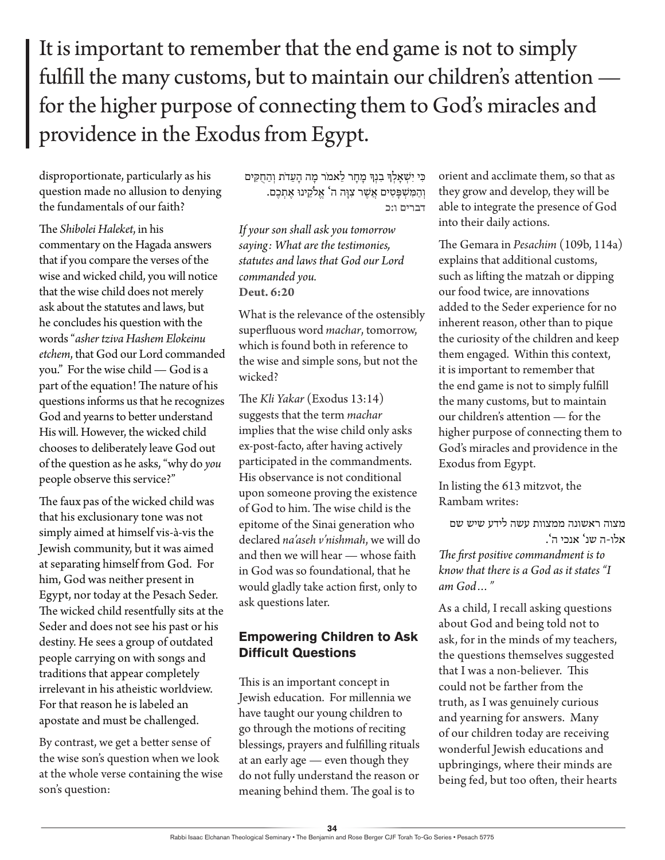## It is important to remember that the end game is not to simply fulfill the many customs, but to maintain our children's attention for the higher purpose of connecting them to God's miracles and providence in the Exodus from Egypt.

disproportionate, particularly as his question made no allusion to denying the fundamentals of our faith?

The *Shibolei Haleket*, in his commentary on the Hagada answers that if you compare the verses of the wise and wicked child, you will notice that the wise child does not merely ask about the statutes and laws, but he concludes his question with the words "*asher tziva Hashem Elokeinu etchem*, that God our Lord commanded you." For the wise child — God is a part of the equation! The nature of his questions informs us that he recognizes God and yearns to better understand His will. However, the wicked child chooses to deliberately leave God out of the question as he asks, "why do *you* people observe this service?"

The faux pas of the wicked child was that his exclusionary tone was not simply aimed at himself vis-à-vis the Jewish community, but it was aimed at separating himself from God. For him, God was neither present in Egypt, nor today at the Pesach Seder. The wicked child resentfully sits at the Seder and does not see his past or his destiny. He sees a group of outdated people carrying on with songs and traditions that appear completely irrelevant in his atheistic worldview. For that reason he is labeled an apostate and must be challenged.

By contrast, we get a better sense of the wise son's question when we look at the whole verse containing the wise son's question:

ּכִ י יִ ׁשְ אָ לְ ָך בִ נְ ָך מָ חָ ר לֵ אמֹר מָ ה הָ עֵ דֹת וְ הַ חֻ ּקִ ים והמשפּטים אַשר צוּה ה<sup>'</sup> אלקינוּ אתכם. **דברים ו:כ**

*If your son shall ask you tomorrow saying: What are the testimonies, statutes and laws that God our Lord commanded you.* **Deut. 6:20**

What is the relevance of the ostensibly superfluous word *machar*, tomorrow, which is found both in reference to the wise and simple sons, but not the wicked?

The *Kli Yakar* (Exodus 13:14) suggests that the term *machar* implies that the wise child only asks ex-post-facto, after having actively participated in the commandments. His observance is not conditional upon someone proving the existence of God to him. The wise child is the epitome of the Sinai generation who declared *na'aseh v'nishmah*, we will do and then we will hear — whose faith in God was so foundational, that he would gladly take action first, only to ask questions later.

## **Empowering Children to Ask Difficult Questions**

This is an important concept in Jewish education. For millennia we have taught our young children to go through the motions of reciting blessings, prayers and fulfilling rituals at an early age — even though they do not fully understand the reason or meaning behind them. The goal is to

orient and acclimate them, so that as they grow and develop, they will be able to integrate the presence of God into their daily actions.

The Gemara in *Pesachim* (109b, 114a) explains that additional customs, such as lifting the matzah or dipping our food twice, are innovations added to the Seder experience for no inherent reason, other than to pique the curiosity of the children and keep them engaged. Within this context, it is important to remember that the end game is not to simply fulfill the many customs, but to maintain our children's attention — for the higher purpose of connecting them to God's miracles and providence in the Exodus from Egypt.

In listing the 613 mitzvot, the Rambam writes:

מצוה ראשונה ממצוות עשה לידע שיש שם אלו-ה שנ' אנכי ה'.

*The first positive commandment is to know that there is a God as it states "I am God…"*

As a child, I recall asking questions about God and being told not to ask, for in the minds of my teachers, the questions themselves suggested that I was a non-believer. This could not be farther from the truth, as I was genuinely curious and yearning for answers. Many of our children today are receiving wonderful Jewish educations and upbringings, where their minds are being fed, but too often, their hearts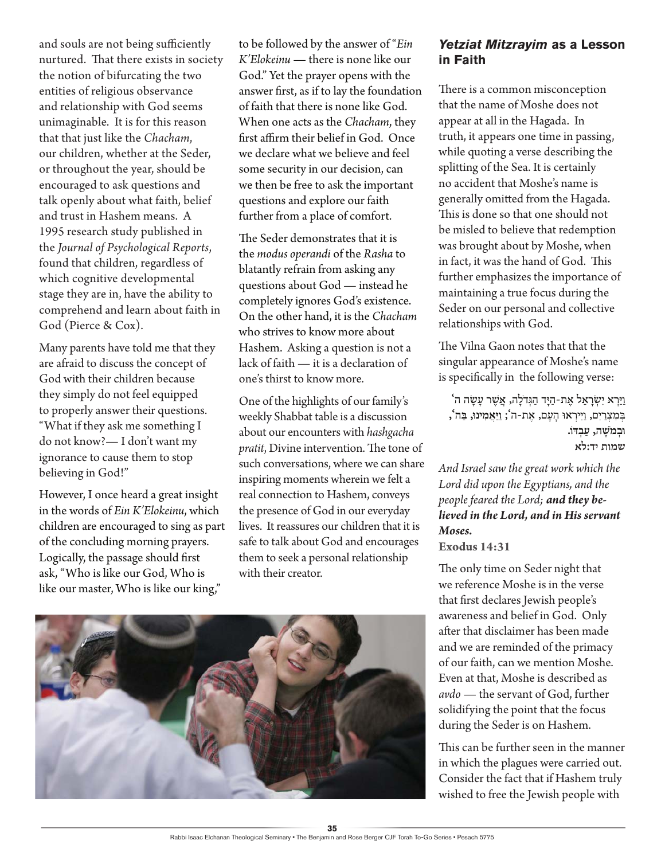and souls are not being sufficiently nurtured. That there exists in society the notion of bifurcating the two entities of religious observance and relationship with God seems unimaginable. It is for this reason that that just like the *Chacham*, our children, whether at the Seder, or throughout the year, should be encouraged to ask questions and talk openly about what faith, belief and trust in Hashem means. A 1995 research study published in the *Journal of Psychological Reports*, found that children, regardless of which cognitive developmental stage they are in, have the ability to comprehend and learn about faith in God (Pierce & Cox).

Many parents have told me that they are afraid to discuss the concept of God with their children because they simply do not feel equipped to properly answer their questions. "What if they ask me something I do not know?— I don't want my ignorance to cause them to stop believing in God!"

However, I once heard a great insight in the words of *Ein K'Elokeinu*, which children are encouraged to sing as part of the concluding morning prayers. Logically, the passage should first ask, "Who is like our God, Who is like our master, Who is like our king,"

to be followed by the answer of "*Ein K'Elokeinu* — there is none like our God." Yet the prayer opens with the answer first, as if to lay the foundation of faith that there is none like God. When one acts as the *Chacham*, they first affirm their belief in God. Once we declare what we believe and feel some security in our decision, can we then be free to ask the important questions and explore our faith further from a place of comfort.

The Seder demonstrates that it is the *modus operandi* of the *Rasha* to blatantly refrain from asking any questions about God — instead he completely ignores God's existence. On the other hand, it is the *Chacham* who strives to know more about Hashem. Asking a question is not a lack of faith — it is a declaration of one's thirst to know more.

One of the highlights of our family's weekly Shabbat table is a discussion about our encounters with *hashgacha pratit*, Divine intervention. The tone of such conversations, where we can share inspiring moments wherein we felt a real connection to Hashem, conveys the presence of God in our everyday lives. It reassures our children that it is safe to talk about God and encourages them to seek a personal relationship with their creator.



## *Yetziat Mitzrayim* **as a Lesson in Faith**

There is a common misconception that the name of Moshe does not appear at all in the Hagada. In truth, it appears one time in passing, while quoting a verse describing the splitting of the Sea. It is certainly no accident that Moshe's name is generally omitted from the Hagada. This is done so that one should not be misled to believe that redemption was brought about by Moshe, when in fact, it was the hand of God. This further emphasizes the importance of maintaining a true focus during the Seder on our personal and collective relationships with God.

The Vilna Gaon notes that that the singular appearance of Moshe's name is specifically in the following verse:

וַיַּרְא יִשְׂרָאֵל אֶת-הַיָּד הַגְּדֹלָה, אֲשֶׁר עָשָׂה ה<sup>ַ</sup> ּבְ מִ צְ רַ יִם, וַ ּיִ ירְ אּו הָ עָ ם, אֶ ת-ה'; **וַ ּיַ אֲ מִ ינּו, ּבַ ה', ּובְ מֹׁשֶ ה, עַ בְ ּדֹו. שמות יד:לא**

*And Israel saw the great work which the Lord did upon the Egyptians, and the people feared the Lord; and they believed in the Lord, and in His servant Moses.*

**Exodus 14:31** 

The only time on Seder night that we reference Moshe is in the verse that first declares Jewish people's awareness and belief in God. Only after that disclaimer has been made and we are reminded of the primacy of our faith, can we mention Moshe. Even at that, Moshe is described as *avdo* — the servant of God, further solidifying the point that the focus during the Seder is on Hashem.

This can be further seen in the manner in which the plagues were carried out. Consider the fact that if Hashem truly wished to free the Jewish people with